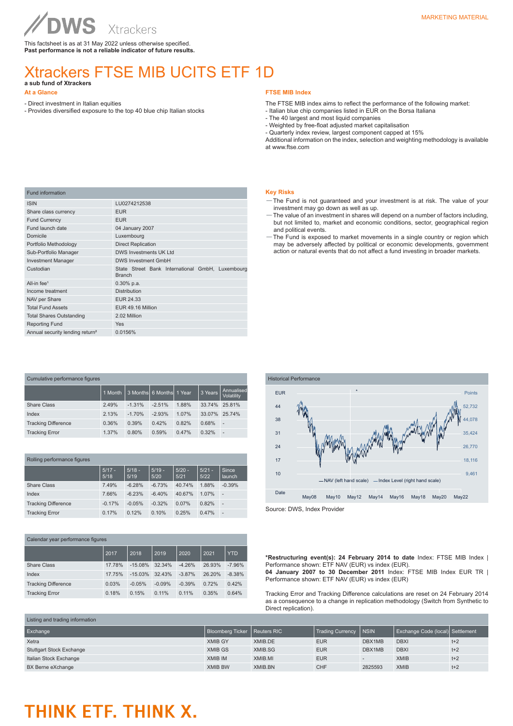This factsheet is as at 31 May 2022 unless otherwise specified. **Past performance is not a reliable indicator of future results.**

## Xtrackers FTSE MIB UCITS ETF 1D

**a sub fund of Xtrackers** 

## **At a Glance**

- Direct investment in Italian equities
- Provides diversified exposure to the top 40 blue chip Italian stocks

### **FTSE MIB Index**

The FTSE MIB index aims to reflect the performance of the following market:

- Italian blue chip companies listed in EUR on the Borsa Italiana
- The 40 largest and most liquid companies
- Weighted by free-float adjusted market capitalisation

- Quarterly index review, largest component capped at 15%

Additional information on the index, selection and weighting methodology is available at www.ftse.com

| LU0274212538                                                      |  |  |  |
|-------------------------------------------------------------------|--|--|--|
| <b>EUR</b>                                                        |  |  |  |
| <b>EUR</b>                                                        |  |  |  |
| 04 January 2007                                                   |  |  |  |
| Luxembourg                                                        |  |  |  |
| <b>Direct Replication</b>                                         |  |  |  |
| <b>DWS Investments UK Ltd</b>                                     |  |  |  |
| <b>DWS Investment GmbH</b>                                        |  |  |  |
| State Street Bank International GmbH, Luxembourg<br><b>Branch</b> |  |  |  |
| $0.30\%$ p.a.                                                     |  |  |  |
| <b>Distribution</b>                                               |  |  |  |
| EUR 24.33                                                         |  |  |  |
| EUR 49.16 Million                                                 |  |  |  |
| 2.02 Million                                                      |  |  |  |
| <b>Yes</b>                                                        |  |  |  |
| 0.0156%                                                           |  |  |  |
|                                                                   |  |  |  |

| Cumulative performance figures |         |          |                          |       |         |                          |
|--------------------------------|---------|----------|--------------------------|-------|---------|--------------------------|
|                                | 1 Month |          | 3 Months 6 Months 1 Year |       | 3 Years | Annualised<br>Volatility |
| Share Class                    | 2.49%   | $-1.31%$ | $-2.51%$                 | 1.88% | 33.74%  | 25.81%                   |
| Index                          | 2.13%   | $-1.70%$ | $-2.93%$                 | 1.07% | 33.07%  | 25.74%                   |
| <b>Tracking Difference</b>     | 0.36%   | 0.39%    | 0.42%                    | 0.82% | 0.68%   | ٠                        |
| <b>Tracking Error</b>          | 1.37%   | 0.80%    | 0.59%                    | 0.47% | 0.32%   | ٠                        |

### Rolling performance figures

|                            | $5/17 -$<br>5/18 | $5/18 -$<br>5/19 | $5/19 -$<br>5/20 | $5/20 -$<br>5/21 | $5/21 -$<br>5/22 | Since<br>launch |
|----------------------------|------------------|------------------|------------------|------------------|------------------|-----------------|
| <b>Share Class</b>         | 7.49%            | $-6.28%$         | $-6.73%$         | 40.74%           | 1.88%            | $-0.39%$        |
| Index                      | 7.66%            | $-6.23%$         | $-6.40%$         | 40.67%           | 1.07%            | ٠               |
| <b>Tracking Difference</b> | $-0.17%$         | $-0.05%$         | $-0.32%$         | 0.07%            | 0.82%            |                 |
| <b>Tracking Error</b>      | 0.17%            | 0.12%            | 0.10%            | 0.25%            | 0.47%            | ٠               |

| Calendar year performance figures |        |           |          |          |        |            |
|-----------------------------------|--------|-----------|----------|----------|--------|------------|
|                                   | 2017   | 2018      | 2019     | 2020     | 2021   | <b>YTD</b> |
| Share Class                       | 17.78% | $-15.08%$ | 32.34%   | $-4.26%$ | 26.93% | $-7.96%$   |
| Index                             | 17.75% | $-15.03%$ | 32.43%   | $-3.87%$ | 26.20% | $-8.38%$   |
| <b>Tracking Difference</b>        | 0.03%  | $-0.05%$  | $-0.09%$ | $-0.39%$ | 0.72%  | 0.42%      |
| <b>Tracking Error</b>             | 0.18%  | 0.15%     | 0.11%    | 0.11%    | 0.35%  | 0.64%      |
|                                   |        |           |          |          |        |            |

### **Key Risks**

- —The Fund is not guaranteed and your investment is at risk. The value of your investment may go down as well as up.
- —The value of an investment in shares will depend on a number of factors including, but not limited to, market and economic conditions, sector, geographical region and political events.
- —The Fund is exposed to market movements in a single country or region which may be adversely affected by political or economic developments, government action or natural events that do not affect a fund investing in broader markets.



Source: DWS, Index Provider

**\*Restructuring event(s): 24 February 2014 to date** Index: FTSE MIB Index | Performance shown: ETF NAV (EUR) vs index (EUR). **04 January 2007 to 30 December 2011** Index: FTSE MIB Index EUR TR | Performance shown: ETF NAV (EUR) vs index (EUR)

Tracking Error and Tracking Difference calculations are reset on 24 February 2014 as a consequence to a change in replication methodology (Switch from Synthetic to Direct replication).

| Listing and trading information |                                |         |                         |              |                                  |       |
|---------------------------------|--------------------------------|---------|-------------------------|--------------|----------------------------------|-------|
| Exchange                        | Bloomberg Ticker   Reuters RIC |         | <b>Trading Currency</b> | <b>INSIN</b> | Exchange Code (local) Settlement |       |
| Xetra                           | <b>XMIB GY</b>                 | XMIB.DE | <b>EUR</b>              | DBX1MB       | <b>DBXI</b>                      | $t+2$ |
| <b>Stuttgart Stock Exchange</b> | <b>XMIB GS</b>                 | XMIB.SG | <b>EUR</b>              | DBX1MB       | <b>DBXI</b>                      | $t+2$ |
| Italian Stock Exchange          | <b>XMIB IM</b>                 | XMIB.MI | <b>EUR</b>              |              | <b>XMIB</b>                      | $t+2$ |
| BX Berne eXchange               | <b>XMIB BW</b>                 | XMIB.BN | <b>CHF</b>              | 2825593      | <b>XMIB</b>                      | $t+2$ |

# THINK ETF. THINK X.